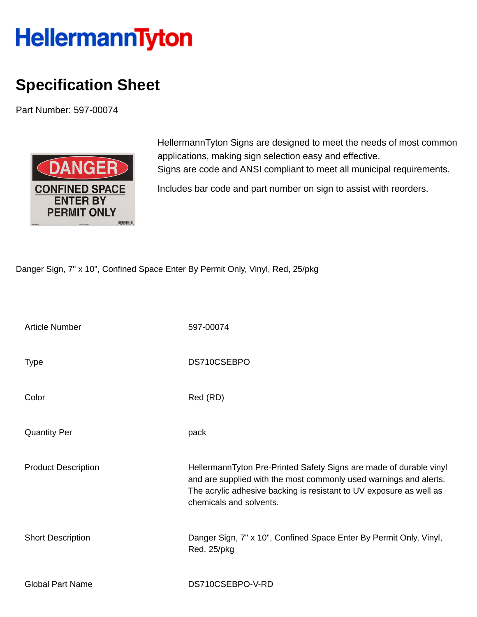## **HellermannTyton**

## **Specification Sheet**

Part Number: 597-00074



HellermannTyton Signs are designed to meet the needs of most common applications, making sign selection easy and effective. Signs are code and ANSI compliant to meet all municipal requirements.

Includes bar code and part number on sign to assist with reorders.

Danger Sign, 7" x 10", Confined Space Enter By Permit Only, Vinyl, Red, 25/pkg

| <b>Article Number</b>      | 597-00074                                                                                                                                                                                                                                 |
|----------------------------|-------------------------------------------------------------------------------------------------------------------------------------------------------------------------------------------------------------------------------------------|
| <b>Type</b>                | DS710CSEBPO                                                                                                                                                                                                                               |
| Color                      | Red (RD)                                                                                                                                                                                                                                  |
| <b>Quantity Per</b>        | pack                                                                                                                                                                                                                                      |
| <b>Product Description</b> | HellermannTyton Pre-Printed Safety Signs are made of durable vinyl<br>and are supplied with the most commonly used warnings and alerts.<br>The acrylic adhesive backing is resistant to UV exposure as well as<br>chemicals and solvents. |
| <b>Short Description</b>   | Danger Sign, 7" x 10", Confined Space Enter By Permit Only, Vinyl,<br>Red, 25/pkg                                                                                                                                                         |
| <b>Global Part Name</b>    | DS710CSEBPO-V-RD                                                                                                                                                                                                                          |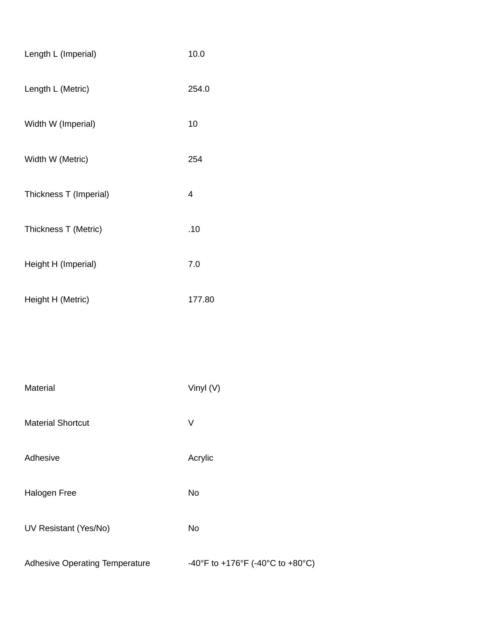| Length L (Imperial)                   | 10.0                             |
|---------------------------------------|----------------------------------|
| Length L (Metric)                     | 254.0                            |
| Width W (Imperial)                    | 10                               |
| Width W (Metric)                      | 254                              |
| Thickness T (Imperial)                | $\overline{\mathcal{A}}$         |
| Thickness T (Metric)                  | .10                              |
| Height H (Imperial)                   | 7.0                              |
| Height H (Metric)                     | 177.80                           |
|                                       |                                  |
|                                       |                                  |
| Material                              | Vinyl (V)                        |
| <b>Material Shortcut</b>              | V                                |
| Adhesive                              | Acrylic                          |
| Halogen Free                          | <b>No</b>                        |
| UV Resistant (Yes/No)                 | No                               |
| <b>Adhesive Operating Temperature</b> | -40°F to +176°F (-40°C to +80°C) |